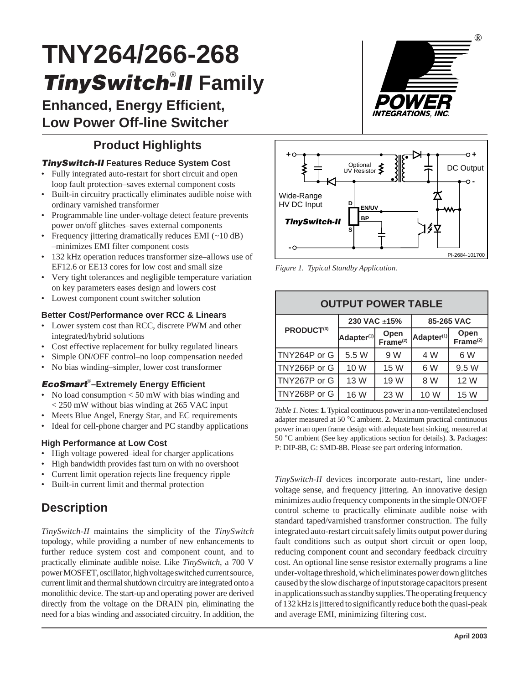# **TNY264/266-268 TinySwitch-II Family**

**Enhanced, Energy Efficient, Low Power Off-line Switcher**

# **Product Highlights**

### **TinySwitch-II Features Reduce System Cost**

- Fully integrated auto-restart for short circuit and open loop fault protection–saves external component costs
- Built-in circuitry practically eliminates audible noise with ordinary varnished transformer
- Programmable line under-voltage detect feature prevents power on/off glitches–saves external components
- Frequency jittering dramatically reduces EMI (~10 dB) –minimizes EMI filter component costs
- 132 kHz operation reduces transformer size–allows use of EF12.6 or EE13 cores for low cost and small size
- Very tight tolerances and negligible temperature variation on key parameters eases design and lowers cost
- Lowest component count switcher solution

#### **Better Cost/Performance over RCC & Linears**

- Lower system cost than RCC, discrete PWM and other integrated/hybrid solutions
- Cost effective replacement for bulky regulated linears
- Simple ON/OFF control–no loop compensation needed
- No bias winding–simpler, lower cost transformer

### **EcoSmart**® **–Extremely Energy Efficient**

- No load consumption  $<$  50 mW with bias winding and < 250 mW without bias winding at 265 VAC input
- Meets Blue Angel, Energy Star, and EC requirements
- Ideal for cell-phone charger and PC standby applications

#### **High Performance at Low Cost**

- High voltage powered–ideal for charger applications
- High bandwidth provides fast turn on with no overshoot
- Current limit operation rejects line frequency ripple
- Built-in current limit and thermal protection

# **Description**

*TinySwitch-II* maintains the simplicity of the *TinySwitch* topology, while providing a number of new enhancements to further reduce system cost and component count, and to practically eliminate audible noise. Like *TinySwitch*, a 700 V power MOSFET, oscillator, high voltage switched current source, current limit and thermal shutdown circuitry are integrated onto a monolithic device. The start-up and operating power are derived directly from the voltage on the DRAIN pin, eliminating the need for a bias winding and associated circuitry. In addition, the





*Figure 1. Typical Standby Application.*

| <b>OUTPUT POWER TABLE</b> |                        |                              |                        |                              |  |  |
|---------------------------|------------------------|------------------------------|------------------------|------------------------------|--|--|
|                           | 230 VAC ±15%           |                              | 85-265 VAC             |                              |  |  |
| PRODUCT <sup>(3)</sup>    | Adapter <sup>(1)</sup> | Open<br>Frame <sup>(2)</sup> | Adapter <sup>(1)</sup> | Open<br>Frame <sup>(2)</sup> |  |  |
| TNY264P or G              | 5.5 W                  | 9 W                          | 4 W                    | 6 W                          |  |  |
| TNY266P or G              | 10 W                   | 15 W                         | 6 W                    | 9.5 W                        |  |  |
| TNY267P or G              | 13 W                   | 19 W                         | 8 W                    | 12 W                         |  |  |
| TNY268P or G              | 16 W                   | 23 W                         | 10 W                   | 15 W                         |  |  |

*Table 1.* Notes: **1.**Typical continuous power in a non-ventilated enclosed adapter measured at 50 °C ambient. **2.** Maximum practical continuous power in an open frame design with adequate heat sinking, measured at 50 °C ambient (See key applications section for details). **3.** Packages: P: DIP-8B, G: SMD-8B. Please see part ordering information.

*TinySwitch-II* devices incorporate auto-restart, line undervoltage sense, and frequency jittering. An innovative design minimizes audio frequency components in the simple ON/OFF control scheme to practically eliminate audible noise with standard taped/varnished transformer construction. The fully integrated auto-restart circuit safely limits output power during fault conditions such as output short circuit or open loop, reducing component count and secondary feedback circuitry cost. An optional line sense resistor externally programs a line under-voltage threshold, which eliminates power down glitches caused by the slow discharge of input storage capacitors present in applications such as standby supplies. The operating frequency of 132 kHz is jittered to significantly reduce both the quasi-peak and average EMI, minimizing filtering cost.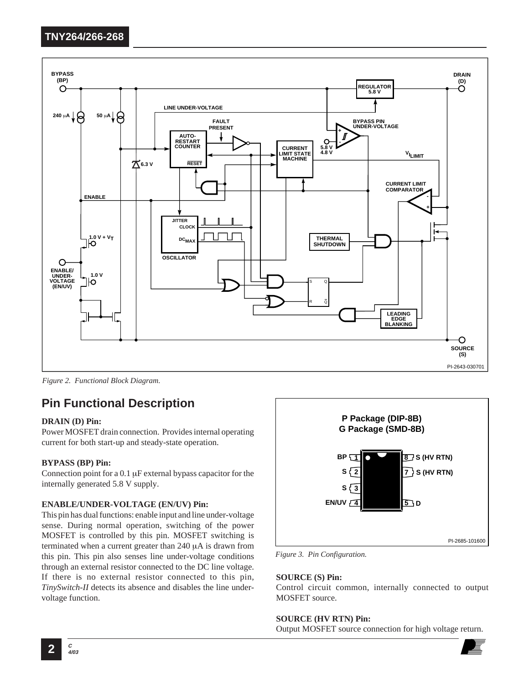

*Figure 2. Functional Block Diagram.*

# **Pin Functional Description**

#### **DRAIN (D) Pin:**

Power MOSFET drain connection. Provides internal operating current for both start-up and steady-state operation.

#### **BYPASS (BP) Pin:**

Connection point for a 0.1 µF external bypass capacitor for the internally generated 5.8 V supply.

#### **ENABLE/UNDER-VOLTAGE (EN/UV) Pin:**

This pin has dual functions: enable input and line under-voltage sense. During normal operation, switching of the power MOSFET is controlled by this pin. MOSFET switching is terminated when a current greater than 240 µA is drawn from this pin. This pin also senses line under-voltage conditions through an external resistor connected to the DC line voltage. If there is no external resistor connected to this pin, *TinySwitch-II* detects its absence and disables the line undervoltage function.



*Figure 3. Pin Configuration.*

#### **SOURCE (S) Pin:**

Control circuit common, internally connected to output MOSFET source.

#### **SOURCE (HV RTN) Pin:**

Output MOSFET source connection for high voltage return.

**4/03**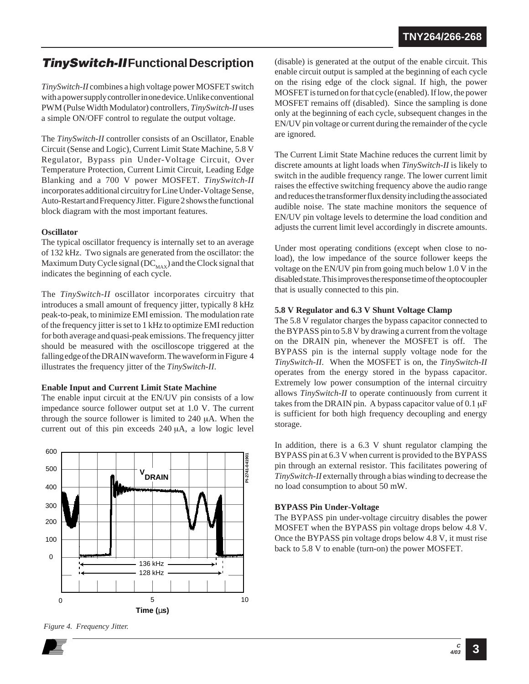# **TinySwitch-IIFunctional Description**

*TinySwitch-II* combines a high voltage power MOSFET switch with a power supply controller in one device. Unlike conventional PWM (Pulse Width Modulator) controllers, *TinySwitch-II* uses a simple ON/OFF control to regulate the output voltage.

The *TinySwitch-II* controller consists of an Oscillator, Enable Circuit (Sense and Logic), Current Limit State Machine, 5.8 V Regulator, Bypass pin Under-Voltage Circuit, Over Temperature Protection, Current Limit Circuit, Leading Edge Blanking and a 700 V power MOSFET. *TinySwitch-II* incorporates additional circuitry for Line Under-Voltage Sense, Auto-Restart and Frequency Jitter. Figure 2 shows the functional block diagram with the most important features.

#### **Oscillator**

The typical oscillator frequency is internally set to an average of 132 kHz. Two signals are generated from the oscillator: the Maximum Duty Cycle signal ( $DC_{MAX}$ ) and the Clock signal that indicates the beginning of each cycle.

The *TinySwitch-II* oscillator incorporates circuitry that introduces a small amount of frequency jitter, typically 8 kHz peak-to-peak, to minimize EMI emission. The modulation rate of the frequency jitter is set to 1 kHz to optimize EMI reduction for both average and quasi-peak emissions. The frequency jitter should be measured with the oscilloscope triggered at the falling edge of the DRAIN waveform. The waveform in Figure 4 illustrates the frequency jitter of the *TinySwitch-II*.

#### **Enable Input and Current Limit State Machine**

The enable input circuit at the EN/UV pin consists of a low impedance source follower output set at 1.0 V. The current through the source follower is limited to 240 µA. When the current out of this pin exceeds 240 µA, a low logic level



*Figure 4. Frequency Jitter.*

(disable) is generated at the output of the enable circuit. This enable circuit output is sampled at the beginning of each cycle on the rising edge of the clock signal. If high, the power MOSFET is turned on for that cycle (enabled). If low, the power MOSFET remains off (disabled). Since the sampling is done only at the beginning of each cycle, subsequent changes in the EN/UV pin voltage or current during the remainder of the cycle are ignored.

The Current Limit State Machine reduces the current limit by discrete amounts at light loads when *TinySwitch-II* is likely to switch in the audible frequency range. The lower current limit raises the effective switching frequency above the audio range and reduces the transformer flux density including the associated audible noise. The state machine monitors the sequence of EN/UV pin voltage levels to determine the load condition and adjusts the current limit level accordingly in discrete amounts.

Under most operating conditions (except when close to noload), the low impedance of the source follower keeps the voltage on the EN/UV pin from going much below 1.0 V in the disabled state. This improves the response time of the optocoupler that is usually connected to this pin.

#### **5.8 V Regulator and 6.3 V Shunt Voltage Clamp**

The 5.8 V regulator charges the bypass capacitor connected to the BYPASS pin to 5.8 V by drawing a current from the voltage on the DRAIN pin, whenever the MOSFET is off. The BYPASS pin is the internal supply voltage node for the *TinySwitch-II*. When the MOSFET is on, the *TinySwitch-II* operates from the energy stored in the bypass capacitor. Extremely low power consumption of the internal circuitry allows *TinySwitch-II* to operate continuously from current it takes from the DRAIN pin. A bypass capacitor value of  $0.1 \mu$ F is sufficient for both high frequency decoupling and energy storage.

In addition, there is a 6.3 V shunt regulator clamping the BYPASS pin at 6.3 V when current is provided to the BYPASS pin through an external resistor. This facilitates powering of *TinySwitch-II* externally through a bias winding to decrease the no load consumption to about 50 mW.

#### **BYPASS Pin Under-Voltage**

The BYPASS pin under-voltage circuitry disables the power MOSFET when the BYPASS pin voltage drops below 4.8 V. Once the BYPASS pin voltage drops below 4.8 V, it must rise back to 5.8 V to enable (turn-on) the power MOSFET.

**3**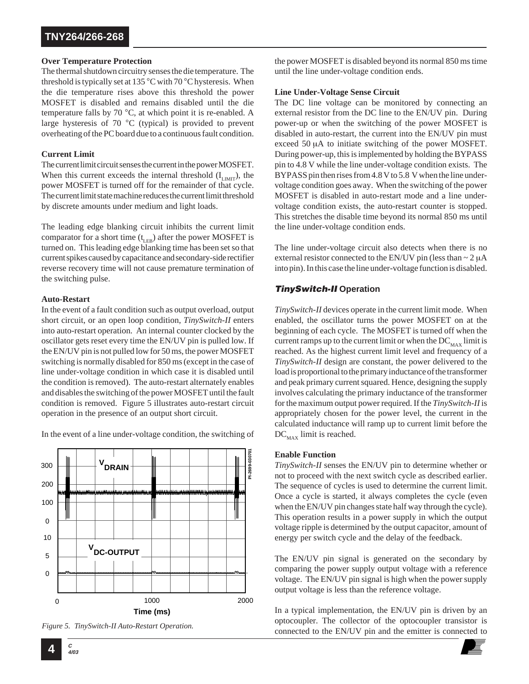#### **Over Temperature Protection**

The thermal shutdown circuitry senses the die temperature. The threshold is typically set at 135 °C with 70 °C hysteresis. When the die temperature rises above this threshold the power MOSFET is disabled and remains disabled until the die temperature falls by 70 °C, at which point it is re-enabled. A large hysteresis of 70 °C (typical) is provided to prevent overheating of the PC board due to a continuous fault condition.

#### **Current Limit**

The current limit circuit senses the current in the power MOSFET. When this current exceeds the internal threshold  $(I_{L<sub>IMIT</sub>})$ , the power MOSFET is turned off for the remainder of that cycle. The current limit state machine reduces the current limit threshold by discrete amounts under medium and light loads.

The leading edge blanking circuit inhibits the current limit comparator for a short time  $(t_{LEB})$  after the power MOSFET is turned on. This leading edge blanking time has been set so that current spikes caused by capacitance and secondary-side rectifier reverse recovery time will not cause premature termination of the switching pulse.

#### **Auto-Restart**

In the event of a fault condition such as output overload, output short circuit, or an open loop condition, *TinySwitch-II* enters into auto-restart operation. An internal counter clocked by the oscillator gets reset every time the EN/UV pin is pulled low. If the EN/UV pin is not pulled low for 50 ms, the power MOSFET switching is normally disabled for 850 ms (except in the case of line under-voltage condition in which case it is disabled until the condition is removed). The auto-restart alternately enables and disables the switching of the power MOSFET until the fault condition is removed. Figure 5 illustrates auto-restart circuit operation in the presence of an output short circuit.

In the event of a line under-voltage condition, the switching of





the power MOSFET is disabled beyond its normal 850 ms time until the line under-voltage condition ends.

#### **Line Under-Voltage Sense Circuit**

The DC line voltage can be monitored by connecting an external resistor from the DC line to the EN/UV pin. During power-up or when the switching of the power MOSFET is disabled in auto-restart, the current into the EN/UV pin must exceed 50 µA to initiate switching of the power MOSFET. During power-up, this is implemented by holding the BYPASS pin to 4.8 V while the line under-voltage condition exists. The BYPASS pin then rises from 4.8 V to 5.8 V when the line undervoltage condition goes away. When the switching of the power MOSFET is disabled in auto-restart mode and a line undervoltage condition exists, the auto-restart counter is stopped. This stretches the disable time beyond its normal 850 ms until the line under-voltage condition ends.

The line under-voltage circuit also detects when there is no external resistor connected to the EN/UV pin (less than  $\sim$  2  $\mu$ A into pin). In this case the line under-voltage function is disabled.

### **TinySwitch-II Operation**

*TinySwitch-II* devices operate in the current limit mode. When enabled, the oscillator turns the power MOSFET on at the beginning of each cycle. The MOSFET is turned off when the current ramps up to the current limit or when the  $DC_{MAX}$  limit is reached. As the highest current limit level and frequency of a *TinySwitch-II* design are constant, the power delivered to the load is proportional to the primary inductance of the transformer and peak primary current squared. Hence, designing the supply involves calculating the primary inductance of the transformer for the maximum output power required. If the *TinySwitch-II* is appropriately chosen for the power level, the current in the calculated inductance will ramp up to current limit before the  $DC_{MAX}$  limit is reached.

#### **Enable Function**

*TinySwitch-II* senses the EN/UV pin to determine whether or not to proceed with the next switch cycle as described earlier. The sequence of cycles is used to determine the current limit. Once a cycle is started, it always completes the cycle (even when the EN/UV pin changes state half way through the cycle). This operation results in a power supply in which the output voltage ripple is determined by the output capacitor, amount of energy per switch cycle and the delay of the feedback.

The EN/UV pin signal is generated on the secondary by comparing the power supply output voltage with a reference voltage. The EN/UV pin signal is high when the power supply output voltage is less than the reference voltage.

In a typical implementation, the EN/UV pin is driven by an optocoupler. The collector of the optocoupler transistor is

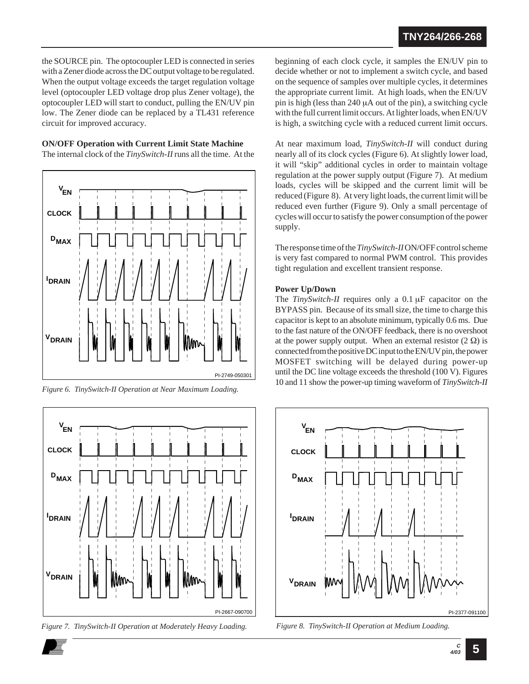the SOURCE pin. The optocoupler LED is connected in series with a Zener diode across the DC output voltage to be regulated. When the output voltage exceeds the target regulation voltage level (optocoupler LED voltage drop plus Zener voltage), the optocoupler LED will start to conduct, pulling the EN/UV pin low. The Zener diode can be replaced by a TL431 reference circuit for improved accuracy.

**ON/OFF Operation with Current Limit State Machine**

The internal clock of the *TinySwitch-II* runs all the time. At the





*Figure 7. TinySwitch-II Operation at Moderately Heavy Loading.*

beginning of each clock cycle, it samples the EN/UV pin to decide whether or not to implement a switch cycle, and based on the sequence of samples over multiple cycles, it determines the appropriate current limit. At high loads, when the EN/UV pin is high (less than 240 µA out of the pin), a switching cycle with the full current limit occurs. At lighter loads, when EN/UV is high, a switching cycle with a reduced current limit occurs.

At near maximum load, *TinySwitch-II* will conduct during nearly all of its clock cycles (Figure 6). At slightly lower load, it will "skip" additional cycles in order to maintain voltage regulation at the power supply output (Figure 7). At medium loads, cycles will be skipped and the current limit will be reduced (Figure 8). At very light loads, the current limit will be reduced even further (Figure 9). Only a small percentage of cycles will occur to satisfy the power consumption of the power supply.

The response time of the *TinySwitch-II*ON/OFF control scheme is very fast compared to normal PWM control. This provides tight regulation and excellent transient response.

#### **Power Up/Down**

The *TinySwitch-II* requires only a 0.1 µF capacitor on the BYPASS pin. Because of its small size, the time to charge this capacitor is kept to an absolute minimum, typically 0.6 ms. Due to the fast nature of the ON/OFF feedback, there is no overshoot at the power supply output. When an external resistor  $(2 \Omega)$  is connected from the positive DC input to the EN/UV pin, the power MOSFET switching will be delayed during power-up until the DC line voltage exceeds the threshold (100 V). Figures 10 and 11 show the power-up timing waveform of *TinySwitch-II Figure 6. TinySwitch-II Operation at Near Maximum Loading.*



*Figure 8. TinySwitch-II Operation at Medium Loading.*

**5**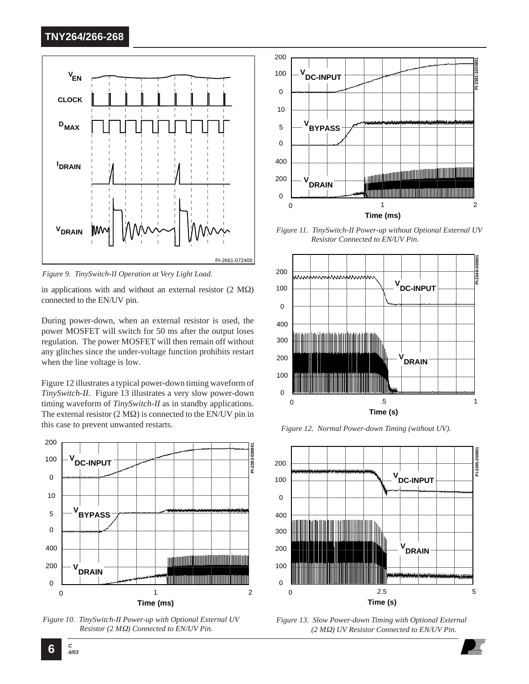

*Figure 9. TinySwitch-II Operation at Very Light Load.*

in applications with and without an external resistor  $(2 \text{ M}\Omega)$ connected to the EN/UV pin.

During power-down, when an external resistor is used, the power MOSFET will switch for 50 ms after the output loses regulation. The power MOSFET will then remain off without any glitches since the under-voltage function prohibits restart when the line voltage is low.

Figure 12 illustrates a typical power-down timing waveform of *TinySwitch-II*. Figure 13 illustrates a very slow power-down timing waveform of *TinySwitch-II* as in standby applications. The external resistor  $(2 M\Omega)$  is connected to the EN/UV pin in this case to prevent unwanted restarts.



*Figure 10. TinySwitch-II Power-up with Optional External UV Resistor (2 M*Ω*) Connected to EN/UV Pin.*



*Figure 11. TinySwitch-II Power-up without Optional External UV Resistor Connected to EN/UV Pin.*



*Figure 12. Normal Power-down Timing (without UV).*



*Figure 13. Slow Power-down Timing with Optional External (2 M*Ω*) UV Resistor Connected to EN/UV Pin.*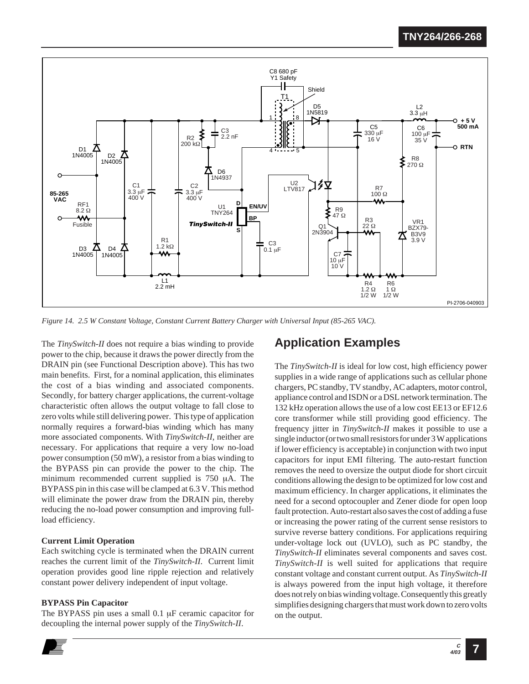

*Figure 14. 2.5 W Constant Voltage, Constant Current Battery Charger with Universal Input (85-265 VAC).*

The *TinySwitch-II* does not require a bias winding to provide power to the chip, because it draws the power directly from the DRAIN pin (see Functional Description above). This has two main benefits. First, for a nominal application, this eliminates the cost of a bias winding and associated components. Secondly, for battery charger applications, the current-voltage characteristic often allows the output voltage to fall close to zero volts while still delivering power. This type of application normally requires a forward-bias winding which has many more associated components. With *TinySwitch-II*, neither are necessary. For applications that require a very low no-load power consumption (50 mW), a resistor from a bias winding to the BYPASS pin can provide the power to the chip. The minimum recommended current supplied is 750 µA. The BYPASS pin in this case will be clamped at 6.3 V. This method will eliminate the power draw from the DRAIN pin, thereby reducing the no-load power consumption and improving fullload efficiency.

#### **Current Limit Operation**

Each switching cycle is terminated when the DRAIN current reaches the current limit of the *TinySwitch-II*. Current limit operation provides good line ripple rejection and relatively constant power delivery independent of input voltage.

#### **BYPASS Pin Capacitor**

The BYPASS pin uses a small 0.1 µF ceramic capacitor for decoupling the internal power supply of the *TinySwitch-II*.

# **Application Examples**

The *TinySwitch-II* is ideal for low cost, high efficiency power supplies in a wide range of applications such as cellular phone chargers, PC standby, TV standby, AC adapters, motor control, appliance control and ISDN or a DSL network termination. The 132 kHz operation allows the use of a low cost EE13 or EF12.6 core transformer while still providing good efficiency. The frequency jitter in *TinySwitch-II* makes it possible to use a single inductor (or two small resistors for under 3 W applications if lower efficiency is acceptable) in conjunction with two input capacitors for input EMI filtering. The auto-restart function removes the need to oversize the output diode for short circuit conditions allowing the design to be optimized for low cost and maximum efficiency. In charger applications, it eliminates the need for a second optocoupler and Zener diode for open loop fault protection. Auto-restart also saves the cost of adding a fuse or increasing the power rating of the current sense resistors to survive reverse battery conditions. For applications requiring under-voltage lock out (UVLO), such as PC standby, the *TinySwitch-II* eliminates several components and saves cost. *TinySwitch-II* is well suited for applications that require constant voltage and constant current output. As *TinySwitch-II* is always powered from the input high voltage, it therefore does not rely on bias winding voltage. Consequently this greatly simplifies designing chargers that must work down to zero volts on the output.

**7**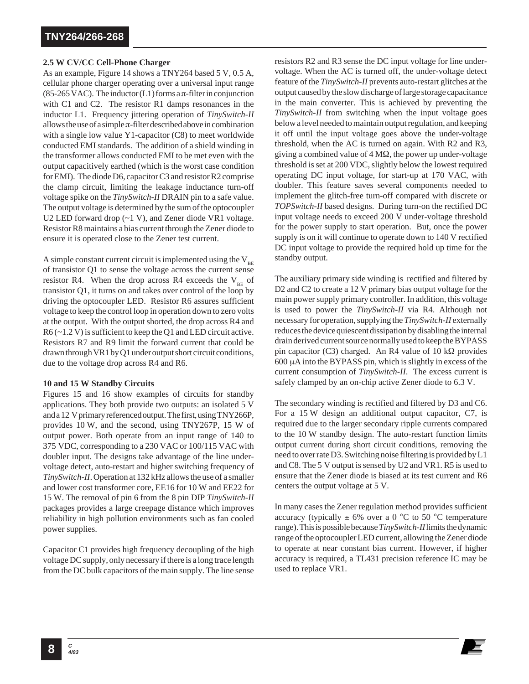#### **2.5 W CV/CC Cell-Phone Charger**

As an example, Figure 14 shows a TNY264 based 5 V, 0.5 A, cellular phone charger operating over a universal input range (85-265 VAC). The inductor (L1) forms a  $\pi$ -filter in conjunction with C1 and C2. The resistor R1 damps resonances in the inductor L1. Frequency jittering operation of *TinySwitch-II* allows the use of a simple  $\pi$ -filter described above in combination with a single low value Y1-capacitor (C8) to meet worldwide conducted EMI standards. The addition of a shield winding in the transformer allows conducted EMI to be met even with the output capacitively earthed (which is the worst case condition for EMI). The diode D6, capacitor C3 and resistor R2 comprise the clamp circuit, limiting the leakage inductance turn-off voltage spike on the *TinySwitch-II* DRAIN pin to a safe value. The output voltage is determined by the sum of the optocoupler U2 LED forward drop (~1 V), and Zener diode VR1 voltage. Resistor R8 maintains a bias current through the Zener diode to ensure it is operated close to the Zener test current.

A simple constant current circuit is implemented using the  $V_{BE}$ of transistor Q1 to sense the voltage across the current sense resistor R4. When the drop across R4 exceeds the  $V_{BE}$  of transistor Q1, it turns on and takes over control of the loop by driving the optocoupler LED. Resistor R6 assures sufficient voltage to keep the control loop in operation down to zero volts at the output. With the output shorted, the drop across R4 and R6 (~1.2 V) is sufficient to keep the Q1 and LED circuit active. Resistors R7 and R9 limit the forward current that could be drawn through VR1 by Q1 under output short circuit conditions, due to the voltage drop across R4 and R6.

#### **10 and 15 W Standby Circuits**

Figures 15 and 16 show examples of circuits for standby applications. They both provide two outputs: an isolated 5 V and a 12 V primary referenced output. The first, using TNY266P, provides 10 W, and the second, using TNY267P, 15 W of output power. Both operate from an input range of 140 to 375 VDC, corresponding to a 230 VAC or 100/115 VAC with doubler input. The designs take advantage of the line undervoltage detect, auto-restart and higher switching frequency of *TinySwitch-II*. Operation at 132 kHz allows the use of a smaller and lower cost transformer core, EE16 for 10 W and EE22 for 15 W. The removal of pin 6 from the 8 pin DIP *TinySwitch-II* packages provides a large creepage distance which improves reliability in high pollution environments such as fan cooled power supplies.

Capacitor C1 provides high frequency decoupling of the high voltage DC supply, only necessary if there is a long trace length from the DC bulk capacitors of the main supply. The line sense resistors R2 and R3 sense the DC input voltage for line undervoltage. When the AC is turned off, the under-voltage detect feature of the *TinySwitch-II* prevents auto-restart glitches at the output caused by the slow discharge of large storage capacitance in the main converter. This is achieved by preventing the *TinySwitch-II* from switching when the input voltage goes below a level needed to maintain output regulation, and keeping it off until the input voltage goes above the under-voltage threshold, when the AC is turned on again. With R2 and R3, giving a combined value of  $4 \text{ M}\Omega$ , the power up under-voltage threshold is set at 200 VDC, slightly below the lowest required operating DC input voltage, for start-up at 170 VAC, with doubler. This feature saves several components needed to implement the glitch-free turn-off compared with discrete or *TOPSwitch-II* based designs. During turn-on the rectified DC input voltage needs to exceed 200 V under-voltage threshold for the power supply to start operation. But, once the power supply is on it will continue to operate down to 140 V rectified DC input voltage to provide the required hold up time for the standby output.

The auxiliary primary side winding is rectified and filtered by D2 and C2 to create a 12 V primary bias output voltage for the main power supply primary controller. In addition, this voltage is used to power the *TinySwitch-II* via R4. Although not necessary for operation, supplying the *TinySwitch-II* externally reduces the device quiescent dissipation by disabling the internal drain derived current source normally used to keep the BYPASS pin capacitor (C3) charged. An R4 value of 10 kΩ provides 600 µA into the BYPASS pin, which is slightly in excess of the current consumption of *TinySwitch-II*. The excess current is safely clamped by an on-chip active Zener diode to 6.3 V.

The secondary winding is rectified and filtered by D3 and C6. For a 15 W design an additional output capacitor, C7, is required due to the larger secondary ripple currents compared to the 10 W standby design. The auto-restart function limits output current during short circuit conditions, removing the need to over rate D3. Switching noise filtering is provided by L1 and C8. The 5 V output is sensed by U2 and VR1. R5 is used to ensure that the Zener diode is biased at its test current and R6 centers the output voltage at 5 V.

In many cases the Zener regulation method provides sufficient accuracy (typically  $\pm$  6% over a 0 °C to 50 °C temperature range). This is possible because *TinySwitch-II*limits the dynamic range of the optocoupler LED current, allowing the Zener diode to operate at near constant bias current. However, if higher accuracy is required, a TL431 precision reference IC may be used to replace VR1.

**4/03**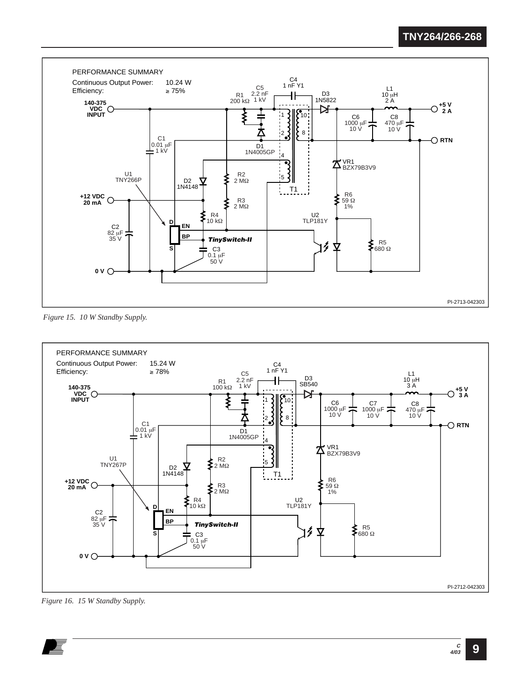

*Figure 15. 10 W Standby Supply.*



*Figure 16. 15 W Standby Supply.*

**9**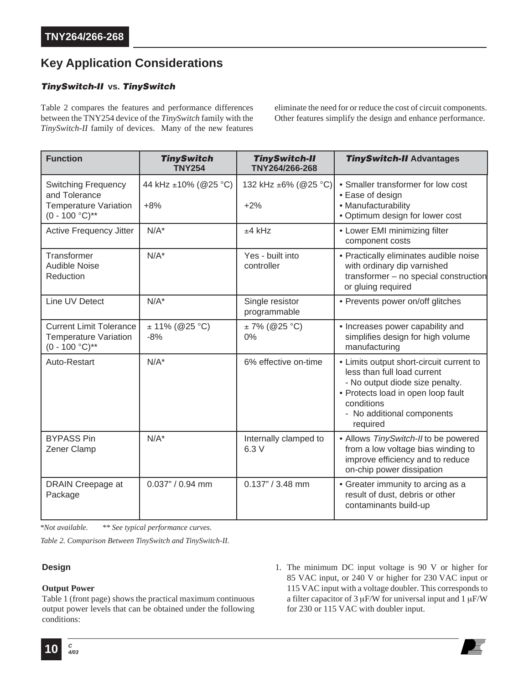# **Key Application Considerations**

### **TinySwitch-II vs. TinySwitch**

Table 2 compares the features and performance differences between the TNY254 device of the *TinySwitch* family with the *TinySwitch-II* family of devices. Many of the new features eliminate the need for or reduce the cost of circuit components. Other features simplify the design and enhance performance.

| <b>Function</b>                                                                                  | <b>TinySwitch</b><br><b>TNY254</b> | <b>TinySwitch-II</b><br>TNY264/266-268 | <b>TinySwitch-II Advantages</b>                                                                                                                                                                          |
|--------------------------------------------------------------------------------------------------|------------------------------------|----------------------------------------|----------------------------------------------------------------------------------------------------------------------------------------------------------------------------------------------------------|
| <b>Switching Frequency</b><br>and Tolerance<br><b>Temperature Variation</b><br>$(0 - 100 °C)$ ** | 44 kHz ±10% (@25 °C)<br>$+8%$      | 132 kHz ±6% (@25 °C)<br>$+2%$          | • Smaller transformer for low cost<br>• Ease of design<br>• Manufacturability<br>· Optimum design for lower cost                                                                                         |
| Active Frequency Jitter                                                                          | $N/A^*$                            | $±4$ kHz                               | • Lower EMI minimizing filter<br>component costs                                                                                                                                                         |
| Transformer<br><b>Audible Noise</b><br>Reduction                                                 | $N/A^*$                            | Yes - built into<br>controller         | • Practically eliminates audible noise<br>with ordinary dip varnished<br>transformer - no special construction<br>or gluing required                                                                     |
| Line UV Detect                                                                                   | $N/A^*$                            | Single resistor<br>programmable        | • Prevents power on/off glitches                                                                                                                                                                         |
| <b>Current Limit Tolerance</b><br><b>Temperature Variation</b><br>$(0 - 100 °C)$ **              | $± 11\% (@25 °C)$<br>$-8%$         | $± 7\% (@25 °C)$<br>0%                 | • Increases power capability and<br>simplifies design for high volume<br>manufacturing                                                                                                                   |
| Auto-Restart                                                                                     | $N/A^*$                            | 6% effective on-time                   | • Limits output short-circuit current to<br>less than full load current<br>- No output diode size penalty.<br>• Protects load in open loop fault<br>conditions<br>- No additional components<br>required |
| <b>BYPASS Pin</b><br>Zener Clamp                                                                 | $N/A^*$                            | Internally clamped to<br>6.3 V         | • Allows TinySwitch-II to be powered<br>from a low voltage bias winding to<br>improve efficiency and to reduce<br>on-chip power dissipation                                                              |
| DRAIN Creepage at<br>Package                                                                     | 0.037" / 0.94 mm                   | $0.137" / 3.48$ mm                     | • Greater immunity to arcing as a<br>result of dust, debris or other<br>contaminants build-up                                                                                                            |

*\*Not available. \*\* See typical performance curves.*

*Table 2. Comparison Between TinySwitch and TinySwitch-II.*

#### **Design**

#### **Output Power**

Table 1 (front page) shows the practical maximum continuous output power levels that can be obtained under the following conditions:

1. The minimum DC input voltage is 90 V or higher for 85 VAC input, or 240 V or higher for 230 VAC input or 115 VAC input with a voltage doubler. This corresponds to a filter capacitor of  $3 \mu$ F/W for universal input and  $1 \mu$ F/W for 230 or 115 VAC with doubler input.

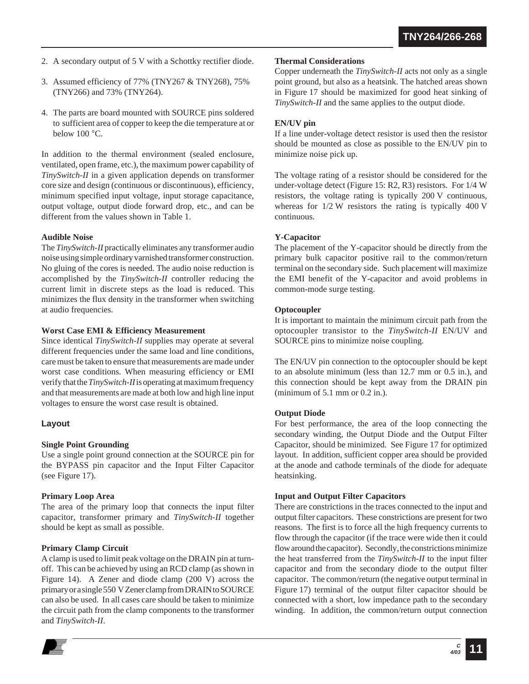- 2. A secondary output of 5 V with a Schottky rectifier diode.
- 3. Assumed efficiency of 77% (TNY267 & TNY268), 75% (TNY266) and 73% (TNY264).
- 4. The parts are board mounted with SOURCE pins soldered to sufficient area of copper to keep the die temperature at or below 100 °C.

In addition to the thermal environment (sealed enclosure, ventilated, open frame, etc.), the maximum power capability of *TinySwitch-II* in a given application depends on transformer core size and design (continuous or discontinuous), efficiency, minimum specified input voltage, input storage capacitance, output voltage, output diode forward drop, etc., and can be different from the values shown in Table 1.

#### **Audible Noise**

The *TinySwitch-II* practically eliminates any transformer audio noise using simple ordinary varnished transformer construction. No gluing of the cores is needed. The audio noise reduction is accomplished by the *TinySwitch-II* controller reducing the current limit in discrete steps as the load is reduced. This minimizes the flux density in the transformer when switching at audio frequencies.

#### **Worst Case EMI & Efficiency Measurement**

Since identical *TinySwitch-II* supplies may operate at several different frequencies under the same load and line conditions, care must be taken to ensure that measurements are made under worst case conditions. When measuring efficiency or EMI verify that the *TinySwitch-II*is operating at maximum frequency and that measurements are made at both low and high line input voltages to ensure the worst case result is obtained.

#### **Layout**

#### **Single Point Grounding**

Use a single point ground connection at the SOURCE pin for the BYPASS pin capacitor and the Input Filter Capacitor (see Figure 17).

#### **Primary Loop Area**

The area of the primary loop that connects the input filter capacitor, transformer primary and *TinySwitch-II* together should be kept as small as possible.

#### **Primary Clamp Circuit**

A clamp is used to limit peak voltage on the DRAIN pin at turnoff. This can be achieved by using an RCD clamp (as shown in Figure 14). A Zener and diode clamp (200 V) across the primary or a single 550 V Zener clamp from DRAIN to SOURCE can also be used. In all cases care should be taken to minimize the circuit path from the clamp components to the transformer and *TinySwitch-II*.

#### **Thermal Considerations**

Copper underneath the *TinySwitch-II* acts not only as a single point ground, but also as a heatsink. The hatched areas shown in Figure 17 should be maximized for good heat sinking of *TinySwitch-II* and the same applies to the output diode.

#### **EN/UV pin**

If a line under-voltage detect resistor is used then the resistor should be mounted as close as possible to the EN/UV pin to minimize noise pick up.

The voltage rating of a resistor should be considered for the under-voltage detect (Figure 15: R2, R3) resistors. For 1/4 W resistors, the voltage rating is typically 200 V continuous, whereas for 1/2 W resistors the rating is typically 400 V continuous.

#### **Y-Capacitor**

The placement of the Y-capacitor should be directly from the primary bulk capacitor positive rail to the common/return terminal on the secondary side. Such placement will maximize the EMI benefit of the Y-capacitor and avoid problems in common-mode surge testing.

#### **Optocoupler**

It is important to maintain the minimum circuit path from the optocoupler transistor to the *TinySwitch-II* EN/UV and SOURCE pins to minimize noise coupling.

The EN/UV pin connection to the optocoupler should be kept to an absolute minimum (less than 12.7 mm or 0.5 in.), and this connection should be kept away from the DRAIN pin (minimum of 5.1 mm or 0.2 in.).

#### **Output Diode**

For best performance, the area of the loop connecting the secondary winding, the Output Diode and the Output Filter Capacitor, should be minimized. See Figure 17 for optimized layout. In addition, sufficient copper area should be provided at the anode and cathode terminals of the diode for adequate heatsinking.

#### **Input and Output Filter Capacitors**

There are constrictions in the traces connected to the input and output filter capacitors. These constrictions are present for two reasons. The first is to force all the high frequency currents to flow through the capacitor (if the trace were wide then it could flow around the capacitor). Secondly, the constrictions minimize the heat transferred from the *TinySwitch-II* to the input filter capacitor and from the secondary diode to the output filter capacitor. The common/return (the negative output terminal in Figure 17) terminal of the output filter capacitor should be connected with a short, low impedance path to the secondary winding. In addition, the common/return output connection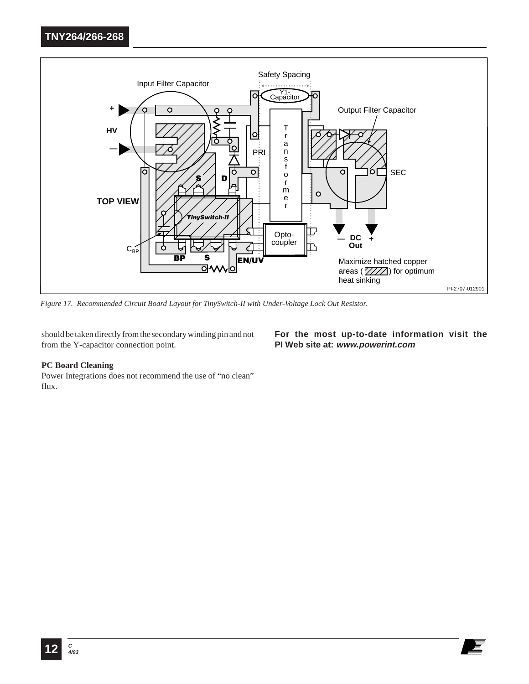

*Figure 17. Recommended Circuit Board Layout for TinySwitch-II with Under-Voltage Lock Out Resistor.*

should be taken directly from the secondary winding pin and not from the Y-capacitor connection point.

#### **For the most up-to-date information visit the PI Web site at: www.powerint.com**

#### **PC Board Cleaning**

Power Integrations does not recommend the use of "no clean" flux.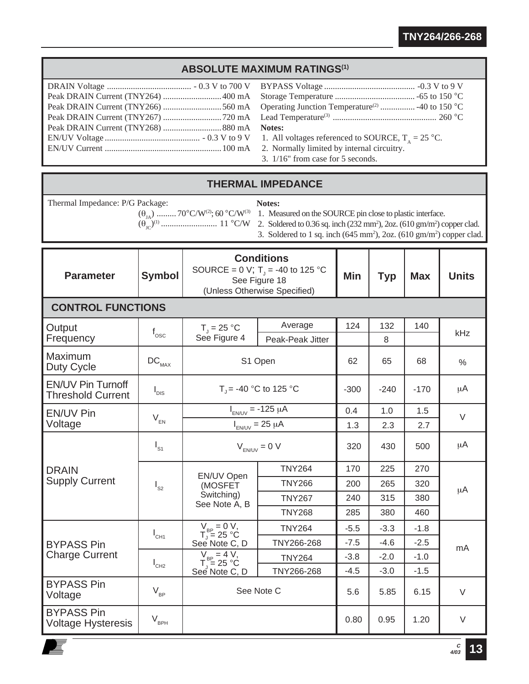## **ABSOLUTE MAXIMUM RATINGS(1)**

| 3. $1/16$ " from case for 5 seconds. |
|--------------------------------------|

### **THERMAL IMPEDANCE**

Thermal Impedance: P/G Package:  $(\theta_{JA})$  ......... 70°C/W<sup>(2)</sup>; 60 °C/W<sup>(3)</sup>

垕

**Notes:**

1. Measured on the SOURCE pin close to plastic interface.

- (θJC)(1) .......................... 11 °C/W
	- 2. Soldered to 0.36 sq. inch (232 mm2 ), 2oz. (610 gm/m2 ) copper clad.
	- 3. Soldered to 1 sq. inch  $(645 \text{ mm}^2)$ , 2oz.  $(610 \text{ gm/m}^2)$  copper clad.

| <b>Parameter</b>                                     | <b>Symbol</b>                | <b>Conditions</b><br>SOURCE = 0 V; T <sub>1</sub> = -40 to 125 °C<br>See Figure 18<br>(Unless Otherwise Specified) |                             | <b>Min</b> | <b>Typ</b> | <b>Max</b> | <b>Units</b> |
|------------------------------------------------------|------------------------------|--------------------------------------------------------------------------------------------------------------------|-----------------------------|------------|------------|------------|--------------|
| <b>CONTROL FUNCTIONS</b>                             |                              |                                                                                                                    |                             |            |            |            |              |
| Output<br>Frequency                                  | $f_{\rm osc}$                | $T_1 = 25 °C$<br>See Figure 4                                                                                      | Average<br>Peak-Peak Jitter | 124        | 132<br>8   | 140        | kHz          |
| Maximum<br>Duty Cycle                                | $\mathsf{DC}_{\mathsf{MAX}}$ | S1 Open                                                                                                            |                             | 62         | 65         | 68         | $\%$         |
| <b>EN/UV Pin Turnoff</b><br><b>Threshold Current</b> | $I_{DIS}$                    | $T_{\rm J}$ = -40 °C to 125 °C                                                                                     |                             | $-300$     | $-240$     | $-170$     | μA           |
| <b>EN/UV Pin</b>                                     | $V_{EN}$                     | $I_{EN/UV}$ = -125 $\mu$ A                                                                                         |                             | 0.4        | 1.0        | 1.5        | $\vee$       |
| Voltage                                              |                              | $I_{EN/UV}$ = 25 µA                                                                                                |                             | 1.3        | 2.3        | 2.7        |              |
| <b>DRAIN</b><br><b>Supply Current</b>                | $I_{S1}$                     | $V_{F N/UV} = 0 V$                                                                                                 |                             | 320        | 430        | 500        | μA           |
|                                                      |                              | EN/UV Open                                                                                                         | <b>TNY264</b>               | 170        | 225        | 270        | $\mu$ A      |
|                                                      | $I_{s2}$                     | (MOSFET<br>Switching)<br>See Note A, B                                                                             | <b>TNY266</b>               | 200        | 265        | 320        |              |
|                                                      |                              |                                                                                                                    | <b>TNY267</b>               | 240        | 315        | 380        |              |
|                                                      |                              |                                                                                                                    | <b>TNY268</b>               | 285        | 380        | 460        |              |
|                                                      | $I_{CH1}$                    | $V_{BP} = 0 V,$<br>T <sub>J</sub> = 25 °C                                                                          | <b>TNY264</b>               | $-5.5$     | $-3.3$     | $-1.8$     |              |
| <b>BYPASS Pin</b>                                    |                              | See Note C, D                                                                                                      | TNY266-268                  | $-7.5$     | $-4.6$     | $-2.5$     | mA           |
| <b>Charge Current</b>                                | $I_{CH2}$                    | $V_{BP} = 4 V,$<br>$T_{J} = 25 °C$<br>See Note C, D                                                                | <b>TNY264</b>               | $-3.8$     | $-2.0$     | $-1.0$     |              |
|                                                      |                              |                                                                                                                    | TNY266-268                  | $-4.5$     | $-3.0$     | $-1.5$     |              |
| <b>BYPASS Pin</b><br>Voltage                         | $V_{BP}$                     | See Note C                                                                                                         |                             | 5.6        | 5.85       | 6.15       | $\vee$       |
| <b>BYPASS Pin</b><br><b>Voltage Hysteresis</b>       | $V_{BPH}$                    |                                                                                                                    |                             | 0.80       | 0.95       | 1.20       | $\vee$       |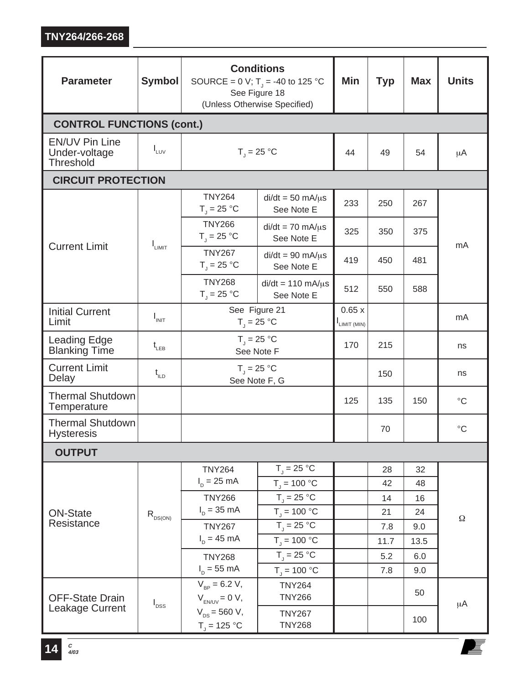| <b>Parameter</b>                                    | <b>Symbol</b>      | <b>Conditions</b><br>SOURCE = 0 V; T <sub>J</sub> = -40 to 125 °C<br>See Figure 18<br>(Unless Otherwise Specified) |                                         | Min                   | <b>Typ</b> | <b>Max</b> | <b>Units</b> |
|-----------------------------------------------------|--------------------|--------------------------------------------------------------------------------------------------------------------|-----------------------------------------|-----------------------|------------|------------|--------------|
| <b>CONTROL FUNCTIONS (cont.)</b>                    |                    |                                                                                                                    |                                         |                       |            |            |              |
| <b>EN/UV Pin Line</b><br>Under-voltage<br>Threshold | $I_{LUV}$          | $T_1 = 25 °C$                                                                                                      | 44                                      | 49                    | 54         | $\mu$ A    |              |
| <b>CIRCUIT PROTECTION</b>                           |                    |                                                                                                                    |                                         |                       |            |            |              |
|                                                     |                    | <b>TNY264</b><br>$T_i = 25 °C$                                                                                     | $di/dt = 50$ mA/ $\mu$ s<br>See Note E  | 233                   | 250        | 267        | mA           |
|                                                     |                    | <b>TNY266</b><br>$T_{\rm J}$ = 25 °C                                                                               | $di/dt = 70$ mA/ $\mu$ s<br>See Note E  | 325                   | 350        | 375        |              |
| <b>Current Limit</b>                                | I <sub>LIMIT</sub> | <b>TNY267</b><br>$T_{\rm J}$ = 25 °C                                                                               | $di/dt = 90$ mA/ $\mu$ s<br>See Note E  | 419                   | 450        | 481        |              |
|                                                     |                    | <b>TNY268</b><br>$T_{\text{J}}$ = 25 °C                                                                            | $di/dt = 110$ mA/ $\mu$ s<br>See Note E | 512                   | 550        | 588        |              |
| <b>Initial Current</b><br>Limit                     | $I_{INT}$          | See Figure 21<br>$T_{\rm J} = 25 \,^{\circ}C$                                                                      |                                         | 0.65x<br>ILIMIT (MIN) |            |            | mA           |
| <b>Leading Edge</b><br><b>Blanking Time</b>         | $t_{LEB}$          | $T_{\parallel}$ = 25 °C<br>See Note F                                                                              |                                         | 170                   | 215        |            | ns           |
| <b>Current Limit</b><br>Delay                       | $t_{\text{ILD}}$   | $T_{\rm J}$ = 25 °C<br>See Note F, G                                                                               |                                         |                       | 150        |            | ns           |
| <b>Thermal Shutdown</b><br>Temperature              |                    |                                                                                                                    |                                         | 125                   | 135        | 150        | $^{\circ}C$  |
| <b>Thermal Shutdown</b><br><b>Hysteresis</b>        |                    |                                                                                                                    |                                         |                       | 70         |            | $^{\circ}C$  |
| <b>OUTPUT</b>                                       |                    |                                                                                                                    |                                         |                       |            |            |              |
|                                                     | $R_{DS(ON)}$       | <b>TNY264</b>                                                                                                      | $T_1 = 25 °C$                           |                       | 28         | 32         | $\Omega$     |
|                                                     |                    | $I_p = 25$ mA                                                                                                      | $T_1 = 100 °C$                          |                       | 42         | 48         |              |
|                                                     |                    | <b>TNY266</b>                                                                                                      | $T_{\rm j} = 25 \,^{\circ}C$            |                       | 14         | 16         |              |
| <b>ON-State</b>                                     |                    | $I_{p} = 35 \text{ mA}$                                                                                            | $T_{\text{J}}$ = 100 °C                 |                       | 21         | 24         |              |
| Resistance                                          |                    | <b>TNY267</b>                                                                                                      | $T_{\parallel}$ = 25 °C                 |                       | 7.8        | 9.0        |              |
|                                                     |                    | $I_{p} = 45 \text{ mA}$                                                                                            | $T_{\rm j}$ = 100 °C                    |                       | 11.7       | 13.5       |              |
|                                                     |                    | <b>TNY268</b>                                                                                                      | $T_1 = 25 °C$                           |                       | 5.2        | 6.0        |              |
|                                                     |                    | $I_p = 55$ mA                                                                                                      | $T_1 = 100 °C$                          |                       | 7.8        | 9.0        |              |
| <b>OFF-State Drain</b>                              | $I_{DSS}$          | $V_{_{RP}} = 6.2 V,$<br>$V_{EN/UV} = 0 V$ ,                                                                        | <b>TNY264</b><br><b>TNY266</b>          |                       |            | 50         | μA           |
| Leakage Current                                     |                    | $V_{DS} = 560 V,$<br>$T_{j}$ = 125 °C                                                                              | <b>TNY267</b><br><b>TNY268</b>          |                       |            | 100        |              |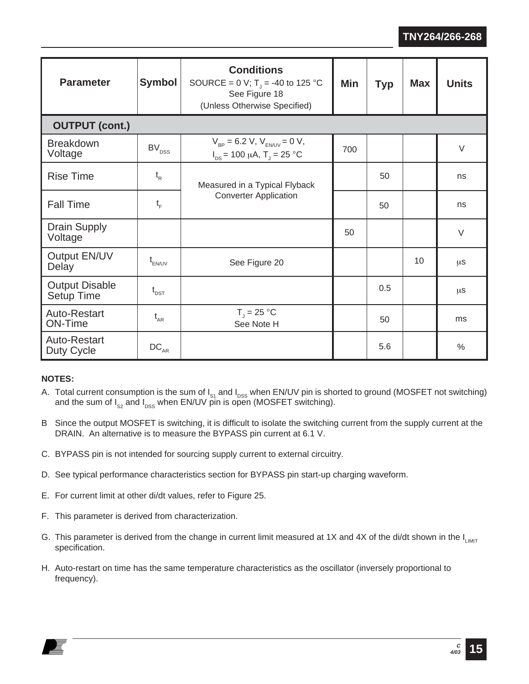| <b>Parameter</b>                           | <b>Symbol</b>                 | <b>Conditions</b><br>SOURCE = 0 V; T <sub>1</sub> = -40 to 125 °C<br>See Figure 18<br>(Unless Otherwise Specified) | Min | <b>Typ</b> | <b>Max</b> | <b>Units</b>  |
|--------------------------------------------|-------------------------------|--------------------------------------------------------------------------------------------------------------------|-----|------------|------------|---------------|
| <b>OUTPUT (cont.)</b>                      |                               |                                                                                                                    |     |            |            |               |
| <b>Breakdown</b><br>Voltage                | $\mathsf{BV}_\mathsf{DSS}$    | $V_{\rm BP} = 6.2$ V, $V_{\rm FM/IV} = 0$ V,<br>$I_{DS}$ = 100 µA, T <sub>J</sub> = 25 °C                          | 700 |            |            | $\vee$        |
| <b>Rise Time</b>                           | $t_{R}$                       | Measured in a Typical Flyback                                                                                      |     | 50         |            | ns            |
| <b>Fall Time</b>                           | $t_F$                         | <b>Converter Application</b>                                                                                       |     | 50         |            | ns            |
| <b>Drain Supply</b><br>Voltage             |                               |                                                                                                                    | 50  |            |            | $\vee$        |
| Output EN/UV<br>Delay                      | $t_{EN/UV}$                   | See Figure 20                                                                                                      |     |            | 10         | μS            |
| <b>Output Disable</b><br><b>Setup Time</b> | $\mathfrak{t}_{\texttt{DST}}$ |                                                                                                                    |     | 0.5        |            | μS            |
| <b>Auto-Restart</b><br><b>ON-Time</b>      | $t_{AR}$                      | $T_{\rm J} = 25 \,^{\circ}C$<br>See Note H                                                                         |     | 50         |            | ms            |
| Auto-Restart<br>Duty Cycle                 | $\mathtt{DC}_{\mathtt{AR}}$   |                                                                                                                    |     | 5.6        |            | $\frac{0}{0}$ |

### **NOTES:**

- A. Total current consumption is the sum of  $I_{S1}$  and  $I_{DSS}$  when EN/UV pin is shorted to ground (MOSFET not switching) and the sum of  $I_{SS}$  and  $I_{DSS}$  when EN/UV pin is open (MOSFET switching).
- B Since the output MOSFET is switching, it is difficult to isolate the switching current from the supply current at the DRAIN. An alternative is to measure the BYPASS pin current at 6.1 V.
- C. BYPASS pin is not intended for sourcing supply current to external circuitry.
- D. See typical performance characteristics section for BYPASS pin start-up charging waveform.
- E. For current limit at other di/dt values, refer to Figure 25.
- F. This parameter is derived from characterization.
- G. This parameter is derived from the change in current limit measured at 1X and 4X of the di/dt shown in the  $I_{LMT}$ specification.
- H. Auto-restart on time has the same temperature characteristics as the oscillator (inversely proportional to frequency).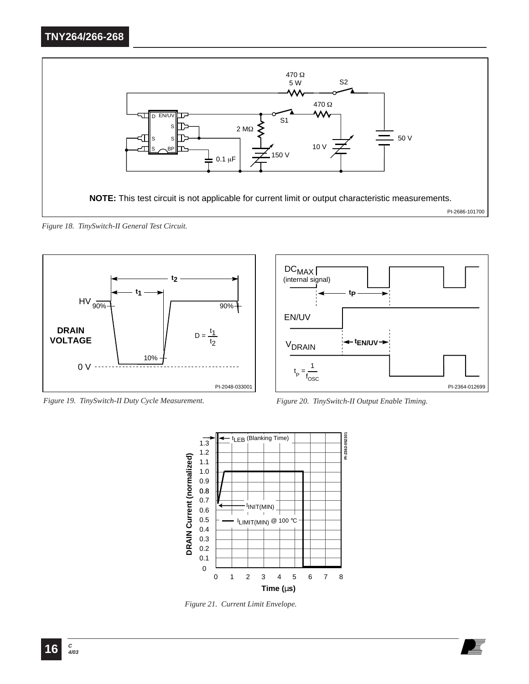

*Figure 18. TinySwitch-II General Test Circuit.*



*Figure 19. TinySwitch-II Duty Cycle Measurement. Figure 20. TinySwitch-II Output Enable Timing.*





*Figure 21. Current Limit Envelope.*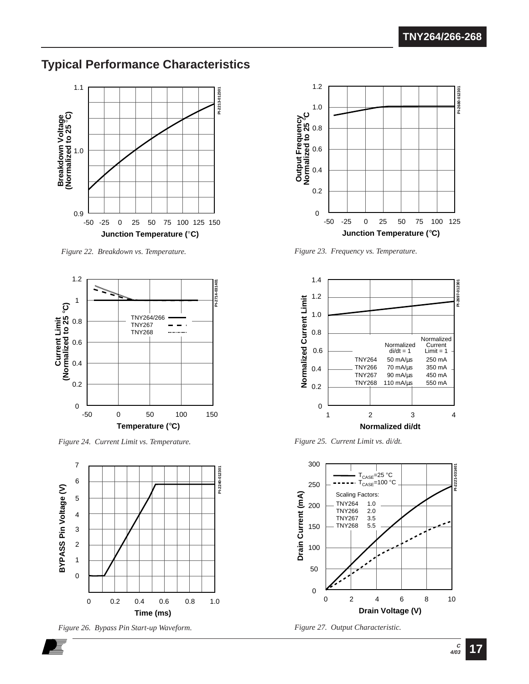# **Typical Performance Characteristics**



*Figure 22. Breakdown vs. Temperature.*



*Figure 24. Current Limit vs. Temperature. Figure 25. Current Limit vs. di/dt.*



*Figure 26. Bypass Pin Start-up Waveform. Figure 27. Output Characteristic.*



*Figure 23. Frequency vs. Temperature.*





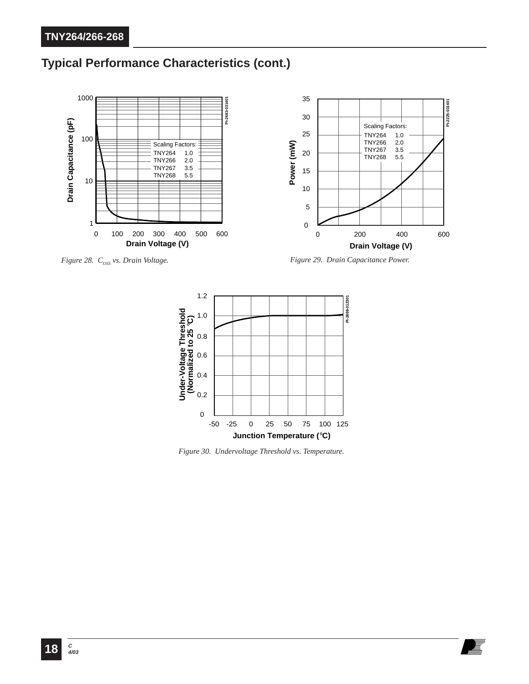# **Typical Performance Characteristics (cont.)**



*Figure 28.*  $C_{\text{oss}}$  vs. Drain Voltage.  $\blacksquare$  *Figure 29.* Drain Capacitance Power.



*Figure 30. Undervoltage Threshold vs. Temperature.*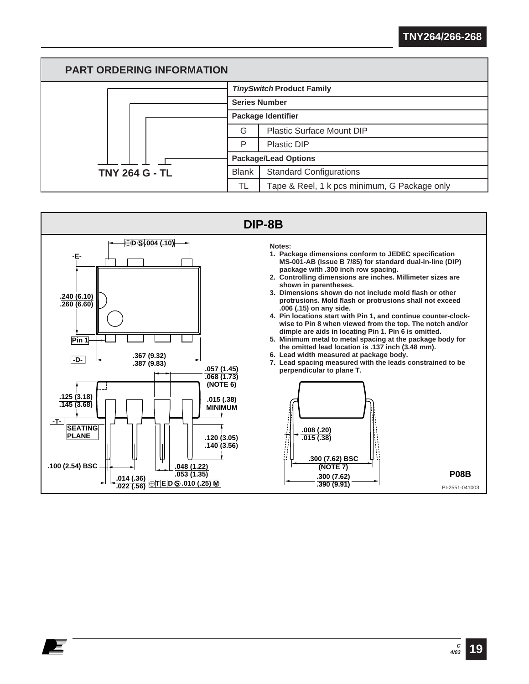

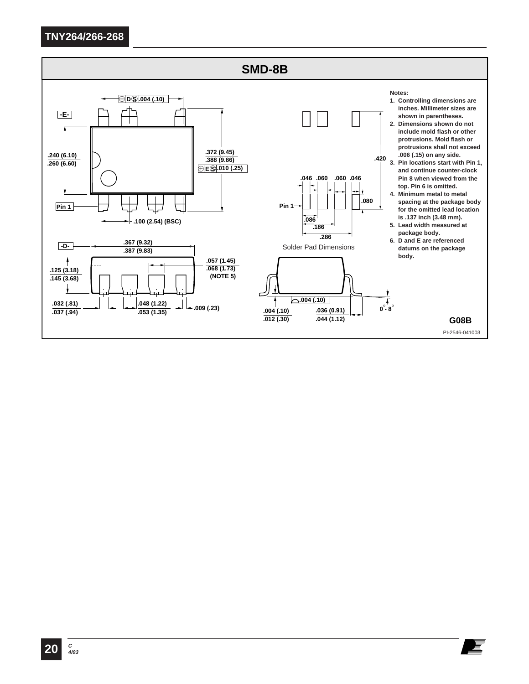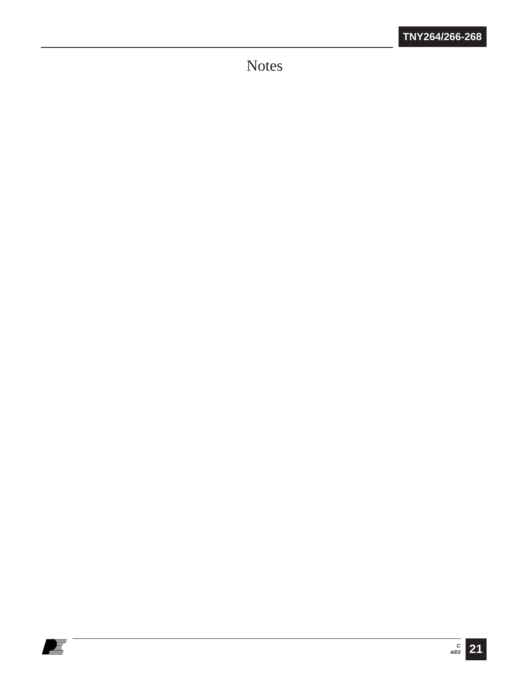Notes

E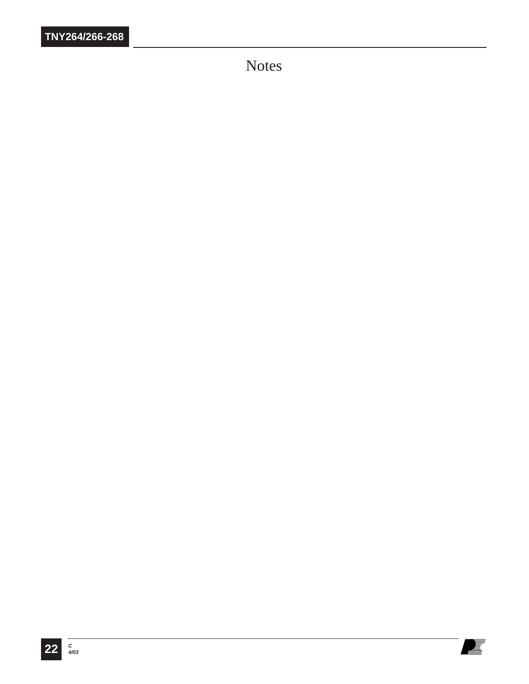Notes

E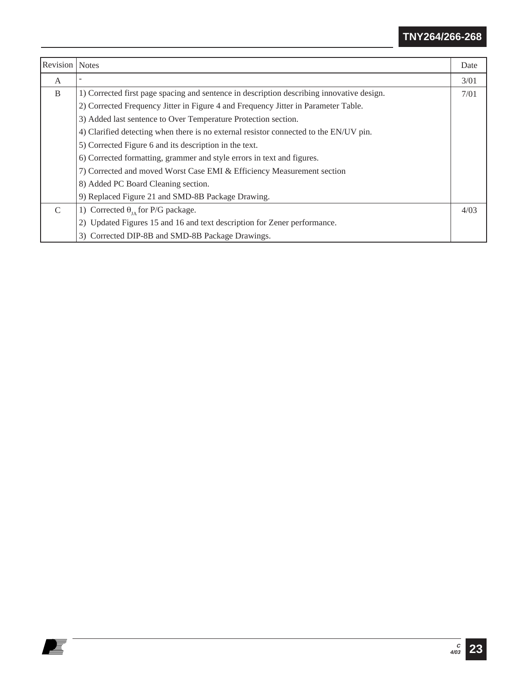| <b>Revision</b>   Notes |                                                                                           | Date |
|-------------------------|-------------------------------------------------------------------------------------------|------|
| A                       |                                                                                           | 3/01 |
| B                       | 1) Corrected first page spacing and sentence in description describing innovative design. | 7/01 |
|                         | 2) Corrected Frequency Jitter in Figure 4 and Frequency Jitter in Parameter Table.        |      |
|                         | 3) Added last sentence to Over Temperature Protection section.                            |      |
|                         | 4) Clarified detecting when there is no external resistor connected to the EN/UV pin.     |      |
|                         | 5) Corrected Figure 6 and its description in the text.                                    |      |
|                         | 6) Corrected formatting, grammer and style errors in text and figures.                    |      |
|                         | 7) Corrected and moved Worst Case EMI & Efficiency Measurement section                    |      |
|                         | 8) Added PC Board Cleaning section.                                                       |      |
|                         | 9) Replaced Figure 21 and SMD-8B Package Drawing.                                         |      |
| $\mathcal{C}$           | 1) Corrected $\theta_{IA}$ for P/G package.                                               | 4/03 |
|                         | 2) Updated Figures 15 and 16 and text description for Zener performance.                  |      |
|                         | 3) Corrected DIP-8B and SMD-8B Package Drawings.                                          |      |

et i